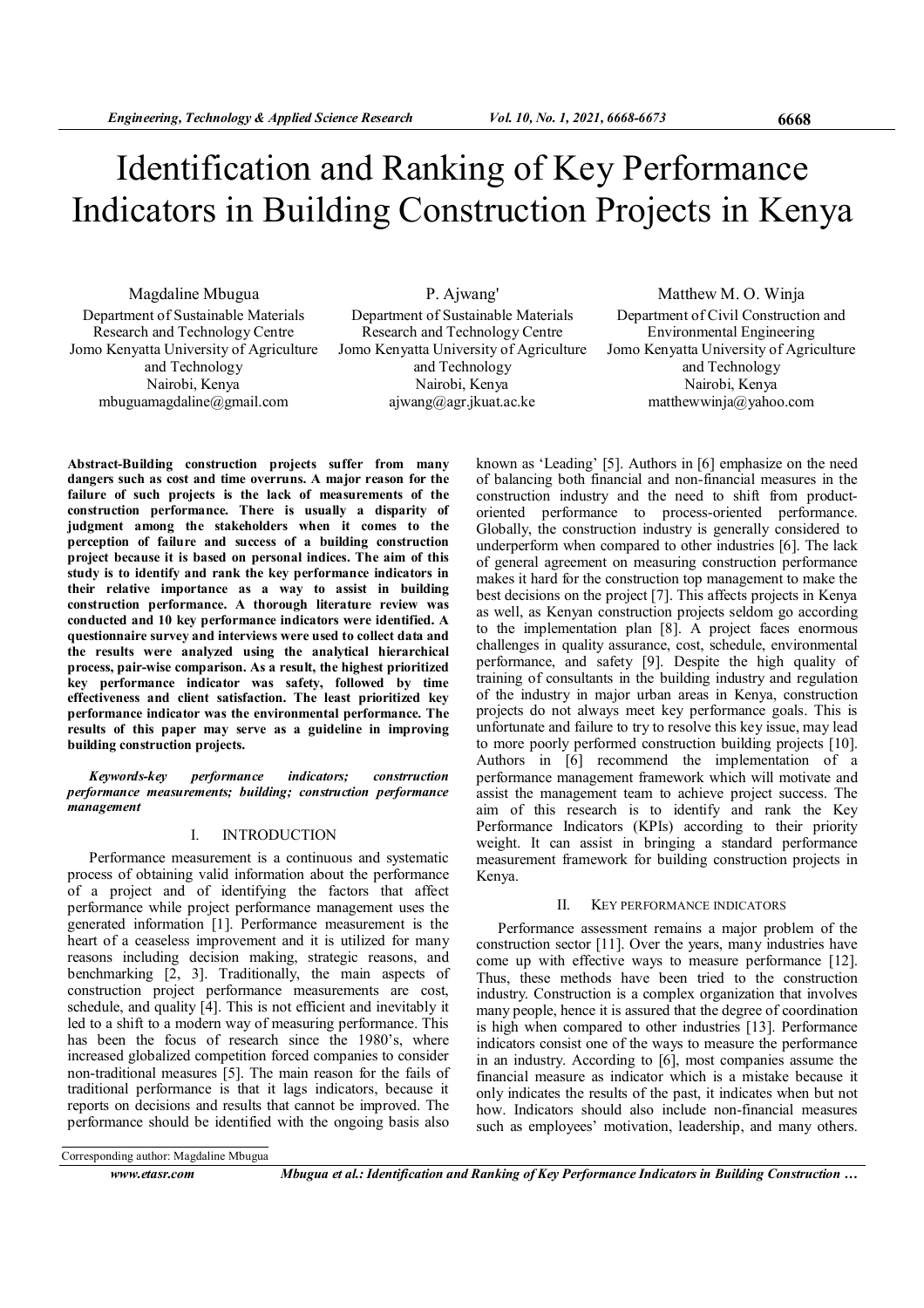# Identification and Ranking of Key Performance Indicators in Building Construction Projects in Kenya

Magdaline Mbugua Department of Sustainable Materials Research and Technology Centre Jomo Kenyatta University of Agriculture and Technology Nairobi, Kenya mbuguamagdaline@gmail.com

P. Ajwang' Department of Sustainable Materials Research and Technology Centre Jomo Kenyatta University of Agriculture and Technology Nairobi, Kenya ajwang@agr.jkuat.ac.ke

Matthew M. O. Winja Department of Civil Construction and Environmental Engineering Jomo Kenyatta University of Agriculture and Technology Nairobi, Kenya matthewwinja@yahoo.com

Abstract-Building construction projects suffer from many dangers such as cost and time overruns. A major reason for the failure of such projects is the lack of measurements of the construction performance. There is usually a disparity of judgment among the stakeholders when it comes to the perception of failure and success of a building construction project because it is based on personal indices. The aim of this study is to identify and rank the key performance indicators in their relative importance as a way to assist in building construction performance. A thorough literature review was conducted and 10 key performance indicators were identified. A questionnaire survey and interviews were used to collect data and the results were analyzed using the analytical hierarchical process, pair-wise comparison. As a result, the highest prioritized key performance indicator was safety, followed by time effectiveness and client satisfaction. The least prioritized key performance indicator was the environmental performance. The results of this paper may serve as a guideline in improving building construction projects.

Keywords-key performance indicators; constrruction performance measurements; building; construction performance management

## I. INTRODUCTION

Performance measurement is a continuous and systematic process of obtaining valid information about the performance of a project and of identifying the factors that affect performance while project performance management uses the generated information [1]. Performance measurement is the heart of a ceaseless improvement and it is utilized for many reasons including decision making, strategic reasons, and benchmarking [2, 3]. Traditionally, the main aspects of construction project performance measurements are cost, schedule, and quality [4]. This is not efficient and inevitably it led to a shift to a modern way of measuring performance. This has been the focus of research since the 1980's, where increased globalized competition forced companies to consider non-traditional measures [5]. The main reason for the fails of traditional performance is that it lags indicators, because it reports on decisions and results that cannot be improved. The performance should be identified with the ongoing basis also

known as 'Leading' [5]. Authors in [6] emphasize on the need of balancing both financial and non-financial measures in the construction industry and the need to shift from productoriented performance to process-oriented performance. Globally, the construction industry is generally considered to underperform when compared to other industries [6]. The lack of general agreement on measuring construction performance makes it hard for the construction top management to make the best decisions on the project [7]. This affects projects in Kenya as well, as Kenyan construction projects seldom go according to the implementation plan [8]. A project faces enormous challenges in quality assurance, cost, schedule, environmental performance, and safety [9]. Despite the high quality of training of consultants in the building industry and regulation of the industry in major urban areas in Kenya, construction projects do not always meet key performance goals. This is unfortunate and failure to try to resolve this key issue, may lead to more poorly performed construction building projects [10]. Authors in [6] recommend the implementation of a performance management framework which will motivate and assist the management team to achieve project success. The aim of this research is to identify and rank the Key Performance Indicators (KPIs) according to their priority weight. It can assist in bringing a standard performance measurement framework for building construction projects in Kenya.

#### II. KEY PERFORMANCE INDICATORS

Performance assessment remains a major problem of the construction sector [11]. Over the years, many industries have come up with effective ways to measure performance [12]. Thus, these methods have been tried to the construction industry. Construction is a complex organization that involves many people, hence it is assured that the degree of coordination is high when compared to other industries [13]. Performance indicators consist one of the ways to measure the performance in an industry. According to [6], most companies assume the financial measure as indicator which is a mistake because it only indicates the results of the past, it indicates when but not how. Indicators should also include non-financial measures such as employees' motivation, leadership, and many others.

Corresponding author: Magdaline Mbugua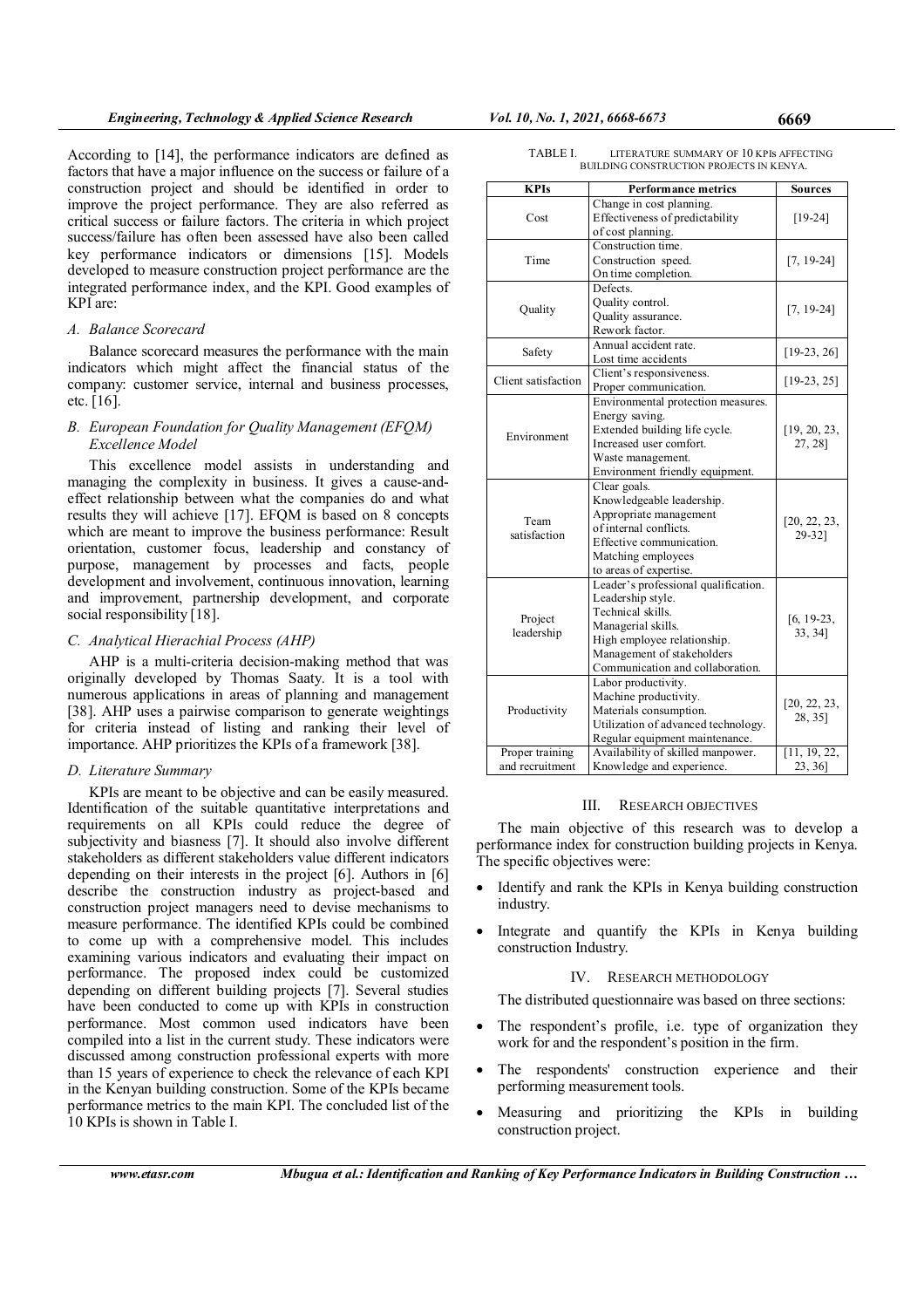According to [14], the performance indicators are defined as factors that have a major influence on the success or failure of a construction project and should be identified in order to improve the project performance. They are also referred as critical success or failure factors. The criteria in which project success/failure has often been assessed have also been called key performance indicators or dimensions [15]. Models developed to measure construction project performance are the integrated performance index, and the KPI. Good examples of KPI are:

# A. Balance Scorecard

Balance scorecard measures the performance with the main indicators which might affect the financial status of the company: customer service, internal and business processes, etc. [16].

# B. European Foundation for Quality Management (EFQM) Excellence Model

This excellence model assists in understanding and managing the complexity in business. It gives a cause-andeffect relationship between what the companies do and what results they will achieve [17]. EFQM is based on 8 concepts which are meant to improve the business performance: Result orientation, customer focus, leadership and constancy of purpose, management by processes and facts, people development and involvement, continuous innovation, learning and improvement, partnership development, and corporate social responsibility [18].

## C. Analytical Hierachial Process (AHP)

AHP is a multi-criteria decision-making method that was originally developed by Thomas Saaty. It is a tool with numerous applications in areas of planning and management [38]. AHP uses a pairwise comparison to generate weightings for criteria instead of listing and ranking their level of importance. AHP prioritizes the KPIs of a framework [38].

## D. Literature Summary

KPIs are meant to be objective and can be easily measured. Identification of the suitable quantitative interpretations and requirements on all KPIs could reduce the degree of subjectivity and biasness [7]. It should also involve different stakeholders as different stakeholders value different indicators depending on their interests in the project [6]. Authors in [6] describe the construction industry as project-based and construction project managers need to devise mechanisms to measure performance. The identified KPIs could be combined to come up with a comprehensive model. This includes examining various indicators and evaluating their impact on performance. The proposed index could be customized depending on different building projects [7]. Several studies have been conducted to come up with KPIs in construction performance. Most common used indicators have been compiled into a list in the current study. These indicators were discussed among construction professional experts with more than 15 years of experience to check the relevance of each KPI in the Kenyan building construction. Some of the KPIs became performance metrics to the main KPI. The concluded list of the 10 KPIs is shown in Table I.

| <b>KPIs</b>         | <b>Performance metrics</b>           | <b>Sources</b> |  |  |
|---------------------|--------------------------------------|----------------|--|--|
|                     | Change in cost planning.             |                |  |  |
| Cost                | Effectiveness of predictability      | $[19-24]$      |  |  |
|                     | of cost planning.                    |                |  |  |
|                     | Construction time.                   |                |  |  |
| Time                | Construction speed.                  | $[7, 19-24]$   |  |  |
|                     | On time completion.                  |                |  |  |
|                     | Defects.                             |                |  |  |
|                     | Quality control.                     |                |  |  |
| Quality             | Quality assurance.                   | $[7, 19-24]$   |  |  |
|                     | Rework factor.                       |                |  |  |
|                     | Annual accident rate.                |                |  |  |
| Safety              | Lost time accidents                  | $[19-23, 26]$  |  |  |
|                     | Client's responsiveness.             |                |  |  |
| Client satisfaction | Proper communication.                | $[19-23, 25]$  |  |  |
|                     | Environmental protection measures.   |                |  |  |
|                     | Energy saving.                       |                |  |  |
|                     | Extended building life cycle.        | [19, 20, 23,   |  |  |
| Environment         | Increased user comfort.              | 27, 28]        |  |  |
|                     | Waste management.                    |                |  |  |
|                     | Environment friendly equipment.      |                |  |  |
|                     | Clear goals.                         |                |  |  |
|                     | Knowledgeable leadership.            |                |  |  |
|                     | Appropriate management               |                |  |  |
| Team                | of internal conflicts.               | [20, 22, 23,   |  |  |
| satisfaction        | Effective communication.             | 29-32]         |  |  |
|                     | Matching employees                   |                |  |  |
|                     | to areas of expertise.               |                |  |  |
|                     | Leader's professional qualification. |                |  |  |
|                     | Leadership style.                    |                |  |  |
|                     | Technical skills.                    |                |  |  |
| Project             | Managerial skills.                   | $[6, 19-23,$   |  |  |
| leadership          | High employee relationship.          | 33, 34]        |  |  |
|                     | Management of stakeholders           |                |  |  |
|                     | Communication and collaboration.     |                |  |  |
|                     | Labor productivity.                  |                |  |  |
|                     | Machine productivity.                |                |  |  |
| Productivity        | Materials consumption.               | [20, 22, 23,   |  |  |
|                     | Utilization of advanced technology.  | 28, 35]        |  |  |
|                     | Regular equipment maintenance.       |                |  |  |
| Proper training     | Availability of skilled manpower.    | [11, 19, 22,   |  |  |
| and recruitment     | Knowledge and experience.            |                |  |  |
|                     |                                      | [23, 36]       |  |  |

#### TABLE I. LITERATURE SUMMARY OF 10 KPIs AFFECTING BUILDING CONSTRUCTION PROJECTS IN KENYA.

#### III. RESEARCH OBJECTIVES

The main objective of this research was to develop a performance index for construction building projects in Kenya. The specific objectives were:

- Identify and rank the KPIs in Kenya building construction industry.
- Integrate and quantify the KPIs in Kenya building construction Industry.

# IV. RESEARCH METHODOLOGY

The distributed questionnaire was based on three sections:

- The respondent's profile, i.e. type of organization they work for and the respondent's position in the firm.
- The respondents' construction experience and their performing measurement tools.
- Measuring and prioritizing the KPIs in building construction project.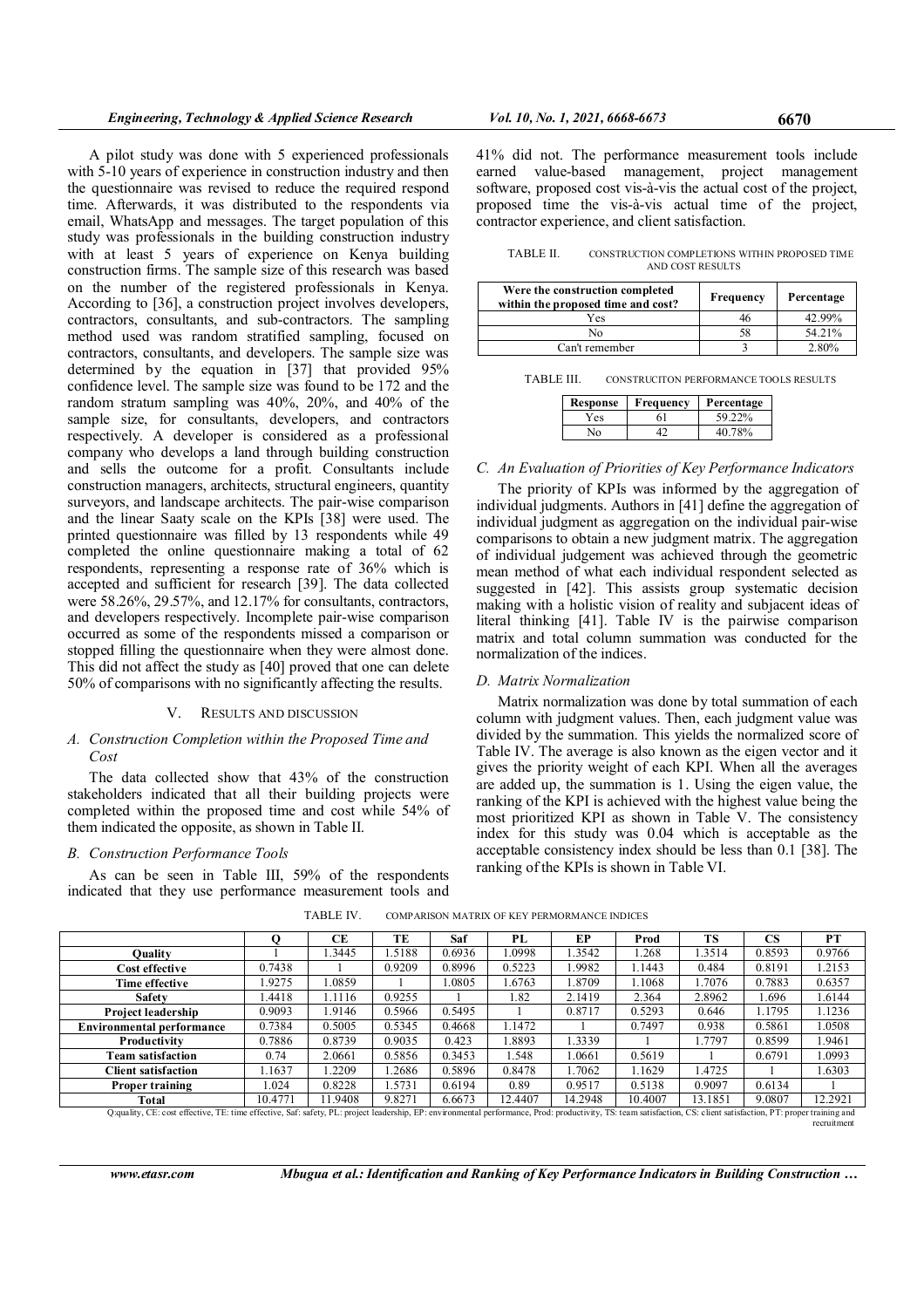A pilot study was done with 5 experienced professionals with 5-10 years of experience in construction industry and then the questionnaire was revised to reduce the required respond time. Afterwards, it was distributed to the respondents via email, WhatsApp and messages. The target population of this study was professionals in the building construction industry with at least 5 years of experience on Kenya building construction firms. The sample size of this research was based on the number of the registered professionals in Kenya. According to [36], a construction project involves developers, contractors, consultants, and sub-contractors. The sampling method used was random stratified sampling, focused on contractors, consultants, and developers. The sample size was determined by the equation in [37] that provided 95% confidence level. The sample size was found to be 172 and the random stratum sampling was 40%, 20%, and 40% of the sample size, for consultants, developers, and contractors respectively. A developer is considered as a professional company who develops a land through building construction and sells the outcome for a profit. Consultants include construction managers, architects, structural engineers, quantity surveyors, and landscape architects. The pair-wise comparison and the linear Saaty scale on the KPIs [38] were used. The printed questionnaire was filled by 13 respondents while 49 completed the online questionnaire making a total of 62 respondents, representing a response rate of 36% which is accepted and sufficient for research [39]. The data collected were 58.26%, 29.57%, and 12.17% for consultants, contractors, and developers respectively. Incomplete pair-wise comparison occurred as some of the respondents missed a comparison or stopped filling the questionnaire when they were almost done. This did not affect the study as [40] proved that one can delete 50% of comparisons with no significantly affecting the results.

## V. RESULTS AND DISCUSSION

## A. Construction Completion within the Proposed Time and Cost

The data collected show that 43% of the construction stakeholders indicated that all their building projects were completed within the proposed time and cost while 54% of them indicated the opposite, as shown in Table II.

#### B. Construction Performance Tools

As can be seen in Table III, 59% of the respondents indicated that they use performance measurement tools and

41% did not. The performance measurement tools include earned value-based management, project management software, proposed cost vis-à-vis the actual cost of the project, proposed time the vis-à-vis actual time of the project, contractor experience, and client satisfaction.

TABLE II. CONSTRUCTION COMPLETIONS WITHIN PROPOSED TIME AND COST RESULTS

| Were the construction completed<br>within the proposed time and cost? | Frequency | Percentage |
|-----------------------------------------------------------------------|-----------|------------|
| Yes                                                                   | 46        | 42.99%     |
| Nο                                                                    | 58        | 54.21%     |
| Can't remember                                                        |           | 2.80%      |

TABLE III. CONSTRUCITON PERFORMANCE TOOLS RESULTS

| Response | Frequency | Percentage |
|----------|-----------|------------|
| Yes      | 61        | 59.22%     |
| Nο       |           | 40 78%     |

# C. An Evaluation of Priorities of Key Performance Indicators

The priority of KPIs was informed by the aggregation of individual judgments. Authors in [41] define the aggregation of individual judgment as aggregation on the individual pair-wise comparisons to obtain a new judgment matrix. The aggregation of individual judgement was achieved through the geometric mean method of what each individual respondent selected as suggested in [42]. This assists group systematic decision making with a holistic vision of reality and subjacent ideas of literal thinking [41]. Table IV is the pairwise comparison matrix and total column summation was conducted for the normalization of the indices.

## D. Matrix Normalization

Matrix normalization was done by total summation of each column with judgment values. Then, each judgment value was divided by the summation. This yields the normalized score of Table IV. The average is also known as the eigen vector and it gives the priority weight of each KPI. When all the averages are added up, the summation is 1. Using the eigen value, the ranking of the KPI is achieved with the highest value being the most prioritized KPI as shown in Table V. The consistency index for this study was 0.04 which is acceptable as the acceptable consistency index should be less than 0.1 [38]. The ranking of the KPIs is shown in Table VI.

recruitment

|                                                                                                                                                                                                                    |         | СE      | TЕ     | Saf    | PL      | EP      | Prod    | <b>TS</b> | CS     | PT      |
|--------------------------------------------------------------------------------------------------------------------------------------------------------------------------------------------------------------------|---------|---------|--------|--------|---------|---------|---------|-----------|--------|---------|
| Ouality                                                                                                                                                                                                            |         | .3445   | .5188  | 0.6936 | .0998   | 1.3542  | 1.268   | 1.3514    | 0.8593 | 0.9766  |
| Cost effective                                                                                                                                                                                                     | 0.7438  |         | 0.9209 | 0.8996 | 0.5223  | .9982   | 1.1443  | 0.484     | 0.8191 | 1.2153  |
| Time effective                                                                                                                                                                                                     | 1.9275  | .0859   |        | 1.0805 | .6763   | .8709   | .1068   | 1.7076    | 0.7883 | 0.6357  |
| <b>Safety</b>                                                                                                                                                                                                      | .4418   | 1.1116  | 0.9255 |        | 1.82    | 2.1419  | 2.364   | 2.8962    | 1.696  | 1.6144  |
| Project leadership                                                                                                                                                                                                 | 0.9093  | 1.9146  | 0.5966 | 0.5495 |         | 0.8717  | 0.5293  | 0.646     | 1.1795 | 1.1236  |
| <b>Environmental performance</b>                                                                                                                                                                                   | 0.7384  | 0.5005  | 0.5345 | 0.4668 | 1.1472  |         | 0.7497  | 0.938     | 0.5861 | 1.0508  |
| Productivity                                                                                                                                                                                                       | 0.7886  | 0.8739  | 0.9035 | 0.423  | .8893   | 1.3339  |         | 1.7797    | 0.8599 | 1.9461  |
| <b>Team satisfaction</b>                                                                                                                                                                                           | 0.74    | 2.0661  | 0.5856 | 0.3453 | 1.548   | 1.0661  | 0.5619  |           | 0.6791 | 1.0993  |
| <b>Client satisfaction</b>                                                                                                                                                                                         | .1637   | .2209   | .2686  | 0.5896 | 0.8478  | .7062   | 1.1629  | 1.4725    |        | 1.6303  |
| <b>Proper training</b>                                                                                                                                                                                             | 1.024   | 0.8228  | .5731  | 0.6194 | 0.89    | 0.9517  | 0.5138  | 0.9097    | 0.6134 |         |
| Total                                                                                                                                                                                                              | 10.4771 | 11.9408 | 9.8271 | 6.6673 | 12.4407 | 14.2948 | 10.4007 | 13.1851   | 9.0807 | 12.2921 |
| O:quality, CE: cost effective, TE: time effective, Saf: safety, PL: project leadership, EP: environmental performance, Prod: productivity, TS: team satisfaction, CS: client satisfaction, PT: proper training and |         |         |        |        |         |         |         |           |        |         |

TABLE IV. COMPARISON MATRIX OF KEY PERMORMANCE INDICES

www.etasr.com Mbugua et al.: Identification and Ranking of Key Performance Indicators in Building Construction ...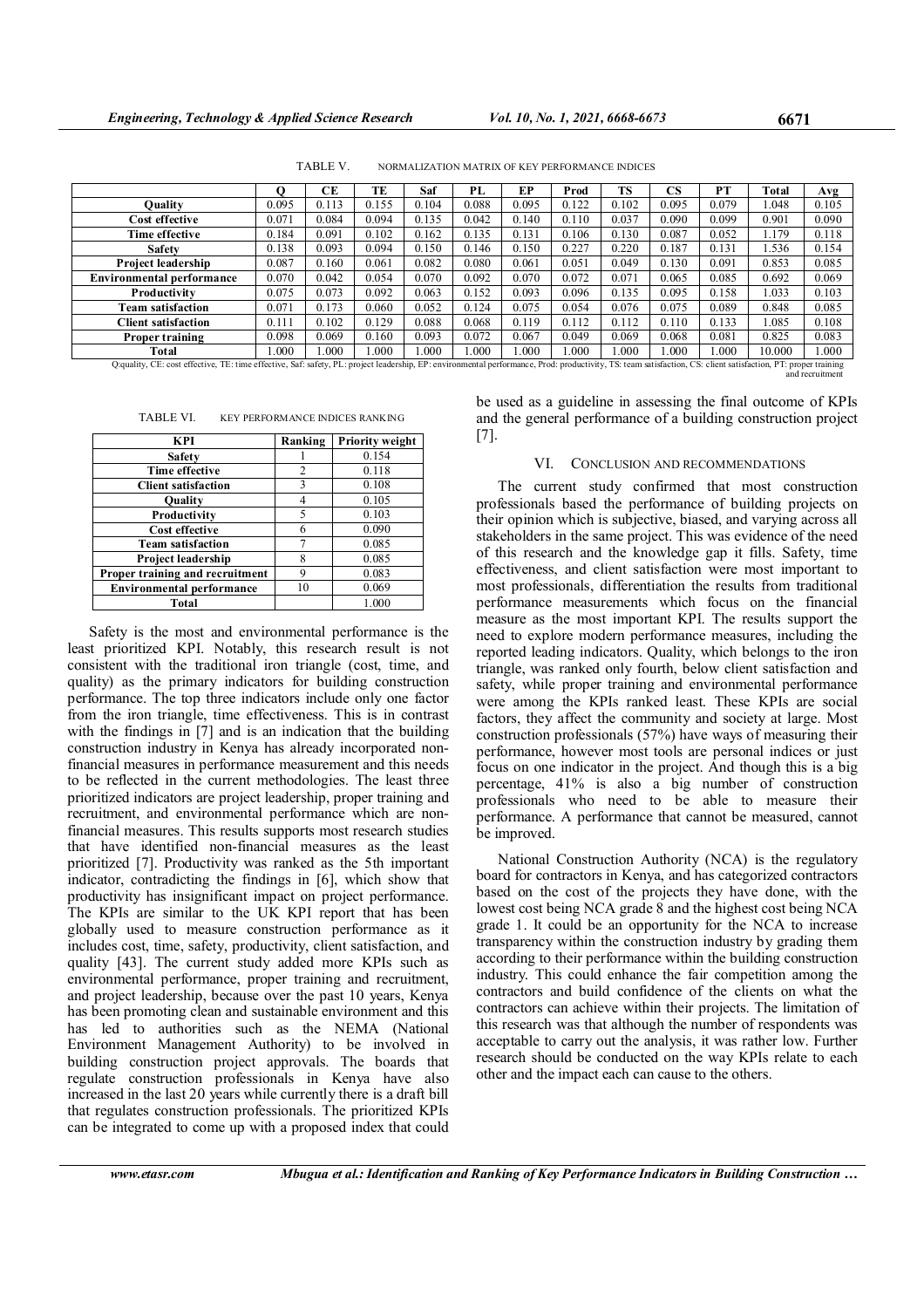TABLE V. NORMALIZATION MATRIX OF KEY PERFORMANCE INDICES

|                                  |       | CЕ    | ТE    | Saf   | PL    | EP    | Prod  | TS    | CS    | PТ    | <b>Total</b> | Avg   |
|----------------------------------|-------|-------|-------|-------|-------|-------|-------|-------|-------|-------|--------------|-------|
| Ouality                          | 0.095 | 0.113 | 0.155 | 0.104 | 0.088 | 0.095 | 0.122 | 0.102 | 0.095 | 0.079 | 1.048        | 0.105 |
| Cost effective                   | 0.071 | 0.084 | 0.094 | 0.135 | 0.042 | 0.140 | 0.110 | 0.037 | 0.090 | 0.099 | 0.901        | 0.090 |
| Time effective                   | 0.184 | 0.091 | 0.102 | 0.162 | 0.135 | 0.131 | 0.106 | 0.130 | 0.087 | 0.052 | 1.179        | 0.118 |
| <b>Safety</b>                    | 0.138 | 0.093 | 0.094 | 0.150 | 0.146 | 0.150 | 0.227 | 0.220 | 0.187 | 0.131 | 1.536        | 0.154 |
| <b>Project leadership</b>        | 0.087 | 0.160 | 0.061 | 0.082 | 0.080 | 0.061 | 0.051 | 0.049 | 0.130 | 0.091 | 0.853        | 0.085 |
| <b>Environmental performance</b> | 0.070 | 0.042 | 0.054 | 0.070 | 0.092 | 0.070 | 0.072 | 0.071 | 0.065 | 0.085 | 0.692        | 0.069 |
| Productivity                     | 0.075 | 0.073 | 0.092 | 0.063 | 0.152 | 0.093 | 0.096 | 0.135 | 0.095 | 0.158 | 1.033        | 0.103 |
| Team satisfaction                | 0.071 | 0.173 | 0.060 | 0.052 | 0.124 | 0.075 | 0.054 | 0.076 | 0.075 | 0.089 | 0.848        | 0.085 |
| <b>Client satisfaction</b>       | 0.111 | 0.102 | 0.129 | 0.088 | 0.068 | 0.119 | 0.112 | 0.112 | 0.110 | 0.133 | .085         | 0.108 |
| <b>Proper training</b>           | 0.098 | 0.069 | 0.160 | 0.093 | 0.072 | 0.067 | 0.049 | 0.069 | 0.068 | 0.081 | 0.825        | 0.083 |
| Total                            | .000  | .000  | .000  | .000  | .000  | .000  | 1.000 | .000  | .000  | .000  | 10.000       | 1.000 |

Q:quality, CE: cost effective, TE: time effective, Saf: safety, PL: project leadership, EP: environmental performance, Prod: productivity, TS: team satisfaction, CS: client satisfaction, PT: proper training and recruitment

| TABLE VI. | <b>KEY PERFORMANCE INDICES RANKING</b> |
|-----------|----------------------------------------|
|-----------|----------------------------------------|

| KPI                              | Ranking | Priority weight |
|----------------------------------|---------|-----------------|
| <b>Safety</b>                    |         | 0.154           |
| <b>Time effective</b>            | 2       | 0.118           |
| <b>Client satisfaction</b>       | 3       | 0.108           |
| Ouality                          |         | 0.105           |
| Productivity                     | 5       | 0.103           |
| <b>Cost effective</b>            | 6       | 0.090           |
| <b>Team satisfaction</b>         |         | 0.085           |
| <b>Project leadership</b>        | 8       | 0.085           |
| Proper training and recruitment  | 9       | 0.083           |
| <b>Environmental performance</b> | 10      | 0.069           |
| Total                            |         | 1.000           |

Safety is the most and environmental performance is the least prioritized KPI. Notably, this research result is not consistent with the traditional iron triangle (cost, time, and quality) as the primary indicators for building construction performance. The top three indicators include only one factor from the iron triangle, time effectiveness. This is in contrast with the findings in [7] and is an indication that the building construction industry in Kenya has already incorporated nonfinancial measures in performance measurement and this needs to be reflected in the current methodologies. The least three prioritized indicators are project leadership, proper training and recruitment, and environmental performance which are nonfinancial measures. This results supports most research studies that have identified non-financial measures as the least prioritized [7]. Productivity was ranked as the 5th important indicator, contradicting the findings in [6], which show that productivity has insignificant impact on project performance. The KPIs are similar to the UK KPI report that has been globally used to measure construction performance as it includes cost, time, safety, productivity, client satisfaction, and quality [43]. The current study added more KPIs such as environmental performance, proper training and recruitment, and project leadership, because over the past 10 years, Kenya has been promoting clean and sustainable environment and this has led to authorities such as the NEMA (National Environment Management Authority) to be involved in building construction project approvals. The boards that regulate construction professionals in Kenya have also increased in the last 20 years while currently there is a draft bill that regulates construction professionals. The prioritized KPIs can be integrated to come up with a proposed index that could be used as a guideline in assessing the final outcome of KPIs and the general performance of a building construction project [7].

#### VI. CONCLUSION AND RECOMMENDATIONS

The current study confirmed that most construction professionals based the performance of building projects on their opinion which is subjective, biased, and varying across all stakeholders in the same project. This was evidence of the need of this research and the knowledge gap it fills. Safety, time effectiveness, and client satisfaction were most important to most professionals, differentiation the results from traditional performance measurements which focus on the financial measure as the most important KPI. The results support the need to explore modern performance measures, including the reported leading indicators. Quality, which belongs to the iron triangle, was ranked only fourth, below client satisfaction and safety, while proper training and environmental performance were among the KPIs ranked least. These KPIs are social factors, they affect the community and society at large. Most construction professionals (57%) have ways of measuring their performance, however most tools are personal indices or just focus on one indicator in the project. And though this is a big percentage, 41% is also a big number of construction professionals who need to be able to measure their performance. A performance that cannot be measured, cannot be improved.

National Construction Authority (NCA) is the regulatory board for contractors in Kenya, and has categorized contractors based on the cost of the projects they have done, with the lowest cost being NCA grade 8 and the highest cost being NCA grade 1. It could be an opportunity for the NCA to increase transparency within the construction industry by grading them according to their performance within the building construction industry. This could enhance the fair competition among the contractors and build confidence of the clients on what the contractors can achieve within their projects. The limitation of this research was that although the number of respondents was acceptable to carry out the analysis, it was rather low. Further research should be conducted on the way KPIs relate to each other and the impact each can cause to the others.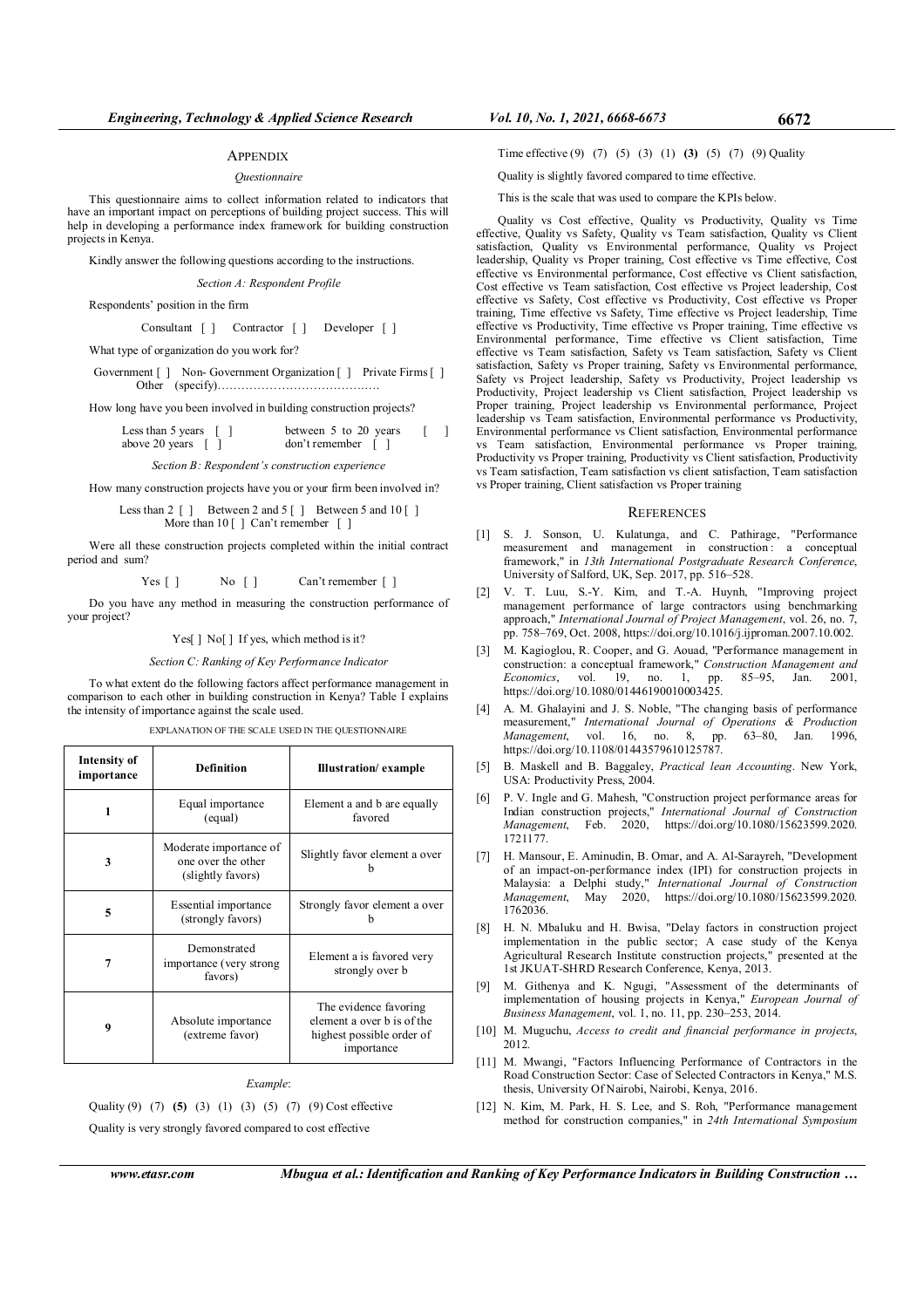#### **APPENDIX**

#### Questionnaire

This questionnaire aims to collect information related to indicators that have an important impact on perceptions of building project success. This will help in developing a performance index framework for building construction projects in Kenya.

Kindly answer the following questions according to the instructions.

Section A: Respondent Profile

Respondents' position in the firm

Consultant [ ] Contractor [ ] Developer [ ]

What type of organization do you work for?

Government  $\lceil \cdot \rceil$  Non-Government Organization  $\lceil \cdot \rceil$  Private Firms  $\lceil \cdot \rceil$ Other (specify)……………………………….….

How long have you been involved in building construction projects?

Less than 5 years [ ] between 5 to 20 years [ ] above 20 years [ ]  $don't remember$  [ ]

Section B: Respondent's construction experience

How many construction projects have you or your firm been involved in?

Less than  $2 \lceil \cdot \rceil$  Between 2 and  $5 \lceil \cdot \rceil$  Between 5 and  $10 \lceil \cdot \rceil$ More than  $10$  [ ] Can't remember [ ]

Were all these construction projects completed within the initial contract period and sum?

Yes [ ] No [ ] Can't remember [ ]

Do you have any method in measuring the construction performance of your project?

Yes[] No[] If yes, which method is it?

Section C: Ranking of Key Performance Indicator

To what extent do the following factors affect performance management in comparison to each other in building construction in Kenya? Table I explains the intensity of importance against the scale used.

#### EXPLANATION OF THE SCALE USED IN THE QUESTIONNAIRE

| Intensity of<br>importance | <b>Definition</b>                                                 | <b>Illustration</b> / example                                                                  |
|----------------------------|-------------------------------------------------------------------|------------------------------------------------------------------------------------------------|
| 1                          | Equal importance<br>(equal)                                       | Element a and b are equally<br>favored                                                         |
| 3                          | Moderate importance of<br>one over the other<br>(slightly favors) | Slightly favor element a over                                                                  |
| 5                          | Essential importance<br>(strongly favors)                         | Strongly favor element a over                                                                  |
| 7                          | Demonstrated<br>importance (very strong)<br>favors)               | Element a is favored very<br>strongly over b                                                   |
| 9                          | Absolute importance<br>(extreme favor)                            | The evidence favoring<br>element a over b is of the<br>highest possible order of<br>importance |

#### Example:

Quality (9) (7) (5) (3) (1) (3) (5) (7) (9) Cost effective Quality is very strongly favored compared to cost effective

Time effective (9) (7) (5) (3) (1) (3) (5) (7) (9) Quality

Quality is slightly favored compared to time effective.

This is the scale that was used to compare the KPIs below.

Quality vs Cost effective, Quality vs Productivity, Quality vs Time effective, Quality vs Safety, Quality vs Team satisfaction, Quality vs Client satisfaction, Quality vs Environmental performance, Quality vs Project leadership, Quality vs Proper training, Cost effective vs Time effective, Cost effective vs Environmental performance, Cost effective vs Client satisfaction, Cost effective vs Team satisfaction, Cost effective vs Project leadership, Cost effective vs Safety, Cost effective vs Productivity, Cost effective vs Proper training, Time effective vs Safety, Time effective vs Project leadership, Time effective vs Productivity, Time effective vs Proper training, Time effective vs Environmental performance, Time effective vs Client satisfaction, Time effective vs Team satisfaction, Safety vs Team satisfaction, Safety vs Client satisfaction, Safety vs Proper training, Safety vs Environmental performance, Safety vs Project leadership, Safety vs Productivity, Project leadership vs Productivity, Project leadership vs Client satisfaction, Project leadership vs Proper training, Project leadership vs Environmental performance, Project leadership vs Team satisfaction, Environmental performance vs Productivity, Environmental performance vs Client satisfaction, Environmental performance vs Team satisfaction, Environmental performance vs Proper training, Productivity vs Proper training, Productivity vs Client satisfaction, Productivity vs Team satisfaction, Team satisfaction vs client satisfaction, Team satisfaction vs Proper training, Client satisfaction vs Proper training

#### **REFERENCES**

- [1] S. J. Sonson, U. Kulatunga, and C. Pathirage, "Performance measurement and management in construction : a conceptual framework," in 13th International Postgraduate Research Conference, University of Salford, UK, Sep. 2017, pp. 516–528.
- [2] V. T. Luu, S.-Y. Kim, and T.-A. Huynh, "Improving project management performance of large contractors using benchmarking approach," International Journal of Project Management, vol. 26, no. 7, pp. 758–769, Oct. 2008, https://doi.org/10.1016/j.ijproman.2007.10.002.
- [3] M. Kagioglou, R. Cooper, and G. Aouad, "Performance management in construction: a conceptual framework," Construction Management and Economics, vol. 19, no. 1, pp. 85–95, Jan. 2001, https://doi.org/10.1080/01446190010003425.
- [4] A. M. Ghalayini and J. S. Noble, "The changing basis of performance measurement," International Journal of Operations & Production Management, vol. 16, no. 8, pp. 63–80, Jan. 1996, https://doi.org/10.1108/01443579610125787.
- [5] B. Maskell and B. Baggaley, Practical lean Accounting. New York, USA: Productivity Press, 2004.
- [6] P. V. Ingle and G. Mahesh, "Construction project performance areas for Indian construction projects," International Journal of Construction Management, Feb. 2020, https://doi.org/10.1080/15623599.2020. 1721177.
- [7] H. Mansour, E. Aminudin, B. Omar, and A. Al-Sarayreh, "Development of an impact-on-performance index (IPI) for construction projects in Malaysia: a Delphi study," International Journal of Construction Management, May 2020, https://doi.org/10.1080/15623599.2020. 1762036.
- [8] H. N. Mbaluku and H. Bwisa, "Delay factors in construction project implementation in the public sector; A case study of the Kenya Agricultural Research Institute construction projects," presented at the 1st JKUAT-SHRD Research Conference, Kenya, 2013.
- [9] M. Githenya and K. Ngugi, "Assessment of the determinants of implementation of housing projects in Kenya," European Journal of Business Management, vol. 1, no. 11, pp. 230–253, 2014.
- [10] M. Muguchu, *Access to credit and financial performance in projects*, 2012.
- [11] M. Mwangi, "Factors Influencing Performance of Contractors in the Road Construction Sector: Case of Selected Contractors in Kenya," M.S. thesis, University Of Nairobi, Nairobi, Kenya, 2016.
- [12] N. Kim, M. Park, H. S. Lee, and S. Roh, "Performance management method for construction companies," in 24th International Symposium